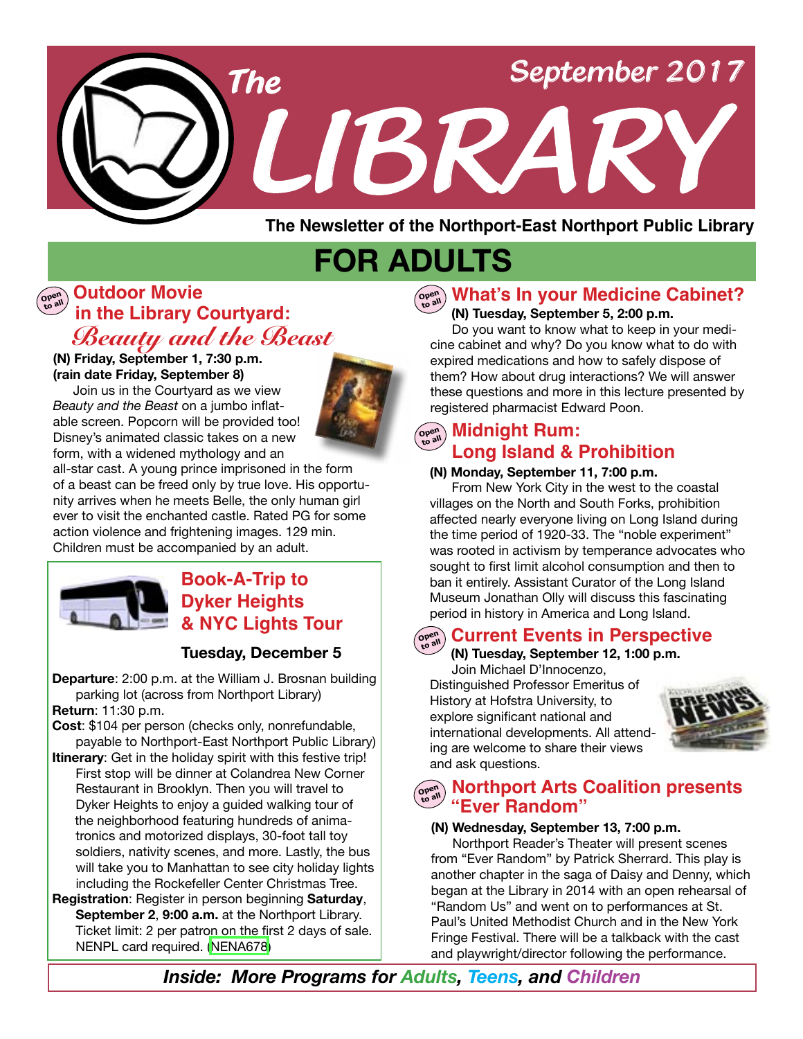

**The Newsletter of the Northport-East Northport Public Library**

# **FOR ADULTS**

# **in the Library Courtyard: Open to all Outdoor Movie***Beauty and the Beast*

#### **(N) Friday, September 1, 7:30 p.m. (rain date Friday, September 8)**

 Join us in the Courtyard as we view *Beauty and the Beast* on a jumbo inflatable screen. Popcorn will be provided too! Disney's animated classic takes on a new form, with a widened mythology and an



all-star cast. A young prince imprisoned in the form of a beast can be freed only by true love. His opportunity arrives when he meets Belle, the only human girl ever to visit the enchanted castle. Rated PG for some action violence and frightening images. 129 min. Children must be accompanied by an adult.



# **Book-A-Trip to Dyker Heights & NYC Lights Tour**

#### **Tuesday, December 5**

**Departure**: 2:00 p.m. at the William J. Brosnan building parking lot (across from Northport Library) **Return**: 11:30 p.m.

- **Cost**: \$104 per person (checks only, nonrefundable, payable to Northport-East Northport Public Library)
- **Itinerary**: Get in the holiday spirit with this festive trip! First stop will be dinner at Colandrea New Corner Restaurant in Brooklyn. Then you will travel to Dyker Heights to enjoy a guided walking tour of the neighborhood featuring hundreds of animatronics and motorized displays, 30-foot tall toy soldiers, nativity scenes, and more. Lastly, the bus will take you to Manhattan to see city holiday lights including the Rockefeller Center Christmas Tree.
- **Registration**: Register in person beginning **Saturday**, **September 2**, **9:00 a.m.** at the Northport Library. Ticket limit: 2 per patron on the first 2 days of sale. NENPL card required. ([NENA678](http://alpha1.suffolk.lib.ny.us/record%3Dg1075008~S43))

# **Open to all What's In your Medicine Cabinet?**

#### **(N) Tuesday, September 5, 2:00 p.m.**

 Do you want to know what to keep in your medicine cabinet and why? Do you know what to do with expired medications and how to safely dispose of them? How about drug interactions? We will answer these questions and more in this lecture presented by registered pharmacist Edward Poon.

# $\left(\begin{smallmatrix} \mathsf{open} \ \mathsf{open} \end{smallmatrix}\right)$  Midnight Rum: **Long Island & Prohibition**

#### **(N) Monday, September 11, 7:00 p.m.**

 From New York City in the west to the coastal villages on the North and South Forks, prohibition affected nearly everyone living on Long Island during the time period of 1920-33. The "noble experiment" was rooted in activism by temperance advocates who sought to first limit alcohol consumption and then to ban it entirely. Assistant Curator of the Long Island Museum Jonathan Olly will discuss this fascinating period in history in America and Long Island.

#### **Open to all Current Events in Perspective**

 **(N) Tuesday, September 12, 1:00 p.m.** 

Join Michael D'Innocenzo, Distinguished Professor Emeritus of History at Hofstra University, to explore significant national and international developments. All attending are welcome to share their views and ask questions.



# **WARE 2008 MORE ARE COALITION PRESENTS**<br> **SARE PRANDOM**

#### **(N) Wednesday, September 13, 7:00 p.m.**

Northport Reader's Theater will present scenes from "Ever Random" by Patrick Sherrard. This play is another chapter in the saga of Daisy and Denny, which began at the Library in 2014 with an open rehearsal of "Random Us" and went on to performances at St. Paul's United Methodist Church and in the New York Fringe Festival. There will be a talkback with the cast and playwright/director following the performance.

*Inside: More Programs for Adults, Teens, and Children*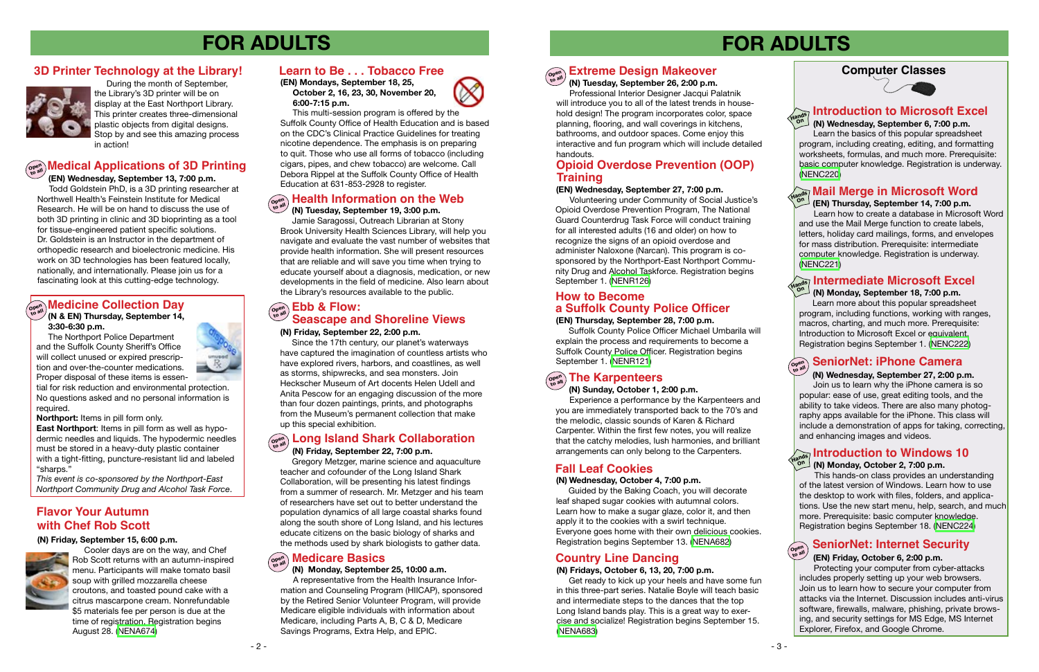# **FOR ADULTS**

#### **(N) Monday, September 25, 10:00 a.m.**

 A representative from the Health Insurance Information and Counseling Program (HIICAP), sponsored by the Retired Senior Volunteer Program, will provide Medicare eligible individuals with information about Medicare, including Parts A, B, C & D, Medicare Savings Programs, Extra Help, and EPIC.



#### **Open to all Long Island Shark Collaboration (N) Friday, September 22, 7:00 p.m.**

 Gregory Metzger, marine science and aquaculture teacher and cofounder of the Long Island Shark Collaboration, will be presenting his latest findings from a summer of research. Mr. Metzger and his team of researchers have set out to better understand the population dynamics of all large coastal sharks found along the south shore of Long Island, and his lectures educate citizens on the basic biology of sharks and the methods used by shark biologists to gather data.

#### **(N) Friday, September 22, 2:00 p.m.**

Since the 17th century, our planet's waterways have captured the imagination of countless artists who have explored rivers, harbors, and coastlines, as well as storms, shipwrecks, and sea monsters. Join Heckscher Museum of Art docents Helen Udell and Anita Pescow for an engaging discussion of the more than four dozen paintings, prints, and photographs from the Museum's permanent collection that make up this special exhibition.

#### $\sigma_{\text{open}}^{\text{open}}$  **Medicine Collection Day (N & EN) Thursday, September 14,**

 **(N) Tuesday, September 19, 3:00 p.m.** Jamie Saragossi, Outreach Librarian at Stony Brook University Health Sciences Library, will help you navigate and evaluate the vast number of websites that provide health information. She will present resources that are reliable and will save you time when trying to educate yourself about a diagnosis, medication, or new developments in the field of medicine. Also learn about the Library's resources available to the public.

# **Open to all Medical Applications of 3D Printing**

 **(EN) Wednesday, September 13, 7:00 p.m.** Todd Goldstein PhD, is a 3D printing researcher at

#### **Ebb & Flow: Seascape and Shoreline Views**

#### **Medicare Basics Open to all**

Northwell Health's Feinstein Institute for Medical Research. He will be on hand to discuss the use of both 3D printing in clinic and 3D bioprinting as a tool for tissue-engineered patient specific solutions. Dr. Goldstein is an Instructor in the department of orthopedic research and bioelectronic medicine. His work on 3D technologies has been featured locally, nationally, and internationally. Please join us for a fascinating look at this cutting-edge technology.

 During the month of September, the Library's 3D printer will be on display at the East Northport Library. This printer creates three-dimensional plastic objects from digital designs. Stop by and see this amazing process in action!

### **3D Printer Technology at the Library!**



 Guided by the Baking Coach, you will decorate leaf shaped sugar cookies with autumnal colors. Learn how to make a sugar glaze, color it, and then apply it to the cookies with a swirl technique. Everyone goes home with their own delicious cookies. Registration begins September 13. ([NENA682](http://alpha1.suffolk.lib.ny.us/record%3Dg1075582~S43))

#### **(N) Friday, September 15, 6:00 p.m.**



Cooler days are on the way, and Chef Rob Scott returns with an autumn-inspired menu. Participants will make tomato basil soup with grilled mozzarella cheese croutons, and toasted pound cake with a citrus mascarpone cream. Nonrefundable \$5 materials fee per person is due at the time of registration. Registration begins August 28. [\(NENA674\)](http://alpha1.suffolk.lib.ny.us/record%3Dg1074988~S43)

#### **Open Extreme Design Makeover**

#### **Health Information on the Web Open to all**

 **3:30-6:30 p.m.**

 The Northport Police Department and the Suffolk County Sheriff's Office will collect unused or expired prescription and over-the-counter medications. Proper disposal of these items is essen-



tial for risk reduction and environmental protection. No questions asked and no personal information is required.

**Northport:** Items in pill form only.

**East Northport**: Items in pill form as well as hypodermic needles and liquids. The hypodermic needles must be stored in a heavy-duty plastic container with a tight-fitting, puncture-resistant lid and labeled "sharps."

### **with Chef Rob Scott Flavor Your Autumn**

*This event is co-sponsored by the Northport-East Northport Community Drug and Alcohol Task Force*.

#### **Learn to Be . . . Tobacco Free**

**(EN) Mondays, September 18, 25, October 2, 16, 23, 30, November 20, 6:00-7:15 p.m.** 

 This multi-session program is offered by the Suffolk County Office of Health Education and is based on the CDC's Clinical Practice Guidelines for treating nicotine dependence. The emphasis is on preparing to quit. Those who use all forms of tobacco (including cigars, pipes, and chew tobacco) are welcome. Call Debora Rippel at the Suffolk County Office of Health Education at 631-853-2928 to register.

#### **Computer Classes**



# **FOR ADULTS**

## **Fall Leaf Cookies**

#### **(N) Wednesday, October 4, 7:00 p.m.**

**to all**

 **(N) Tuesday, September 26, 2:00 p.m.** Professional Interior Designer Jacqui Palatnik will introduce you to all of the latest trends in household design! The program incorporates color, space planning, flooring, and wall coverings in kitchens, bathrooms, and outdoor spaces. Come enjoy this interactive and fun program which will include detailed handouts.

#### **Introduction to Microsoft Excel Intermediate Microsoft Excel**<br> **Mandel Contempts: 19, 700 p.m. (N) Monday, September 18, 7:00 p.m.**  Learn more about this popular spreadsheet program, including functions, working with ranges, macros, charting, and much more. Prerequisite: Introduction to Microsoft Excel or equivalent. Registration begins September 1. ([NENC222\)](http://alpha1.suffolk.lib.ny.us/record%3Dg1000954~S43) **Open to all (EN) Thursday, September 14, 7:00 p.m.** Learn how to create a database in Microsoft Word and use the Mail Merge function to create labels, letters, holiday card mailings, forms, and envelopes for mass distribution. Prerequisite: intermediate computer knowledge. Registration is underway. ([NENC221](http://alpha1.suffolk.lib.ny.us/record%3Dg1075107~S43)) **Mail Merge in Microsoft Word Hands On Hands On (N) Wednesday, September 6, 7:00 p.m.** Learn the basics of this popular spreadsheet program, including creating, editing, and formatting worksheets, formulas, and much more. Prerequisite: basic computer knowledge. Registration is underway. [\(NENC220\)](http://alpha1.suffolk.lib.ny.us/record%3Dg1017266~S43) **SeniorNet: iPhone Camera (N) Wednesday, September 27, 2:00 p.m.** Join us to learn why the iPhone camera is so popular: ease of use, great editing tools, and the ability to take videos. There are also many photography apps available for the iPhone. This class will include a demonstration of apps for taking, correcting, and enhancing images and videos. **Introduction to Windows 10**<br>Hands (All Monday October 2, 7:00 p.m.  **(N) Monday, October 2, 7:00 p.m.** This hands-on class provides an understanding of the latest version of Windows. Learn how to use the desktop to work with files, folders, and applications. Use the new start menu, help, search, and much more. Prerequisite: basic computer knowledge. Registration begins September 18. [\(NENC224\)](http://alpha1.suffolk.lib.ny.us/record%3Dg1066488~S43)

## **Country Line Dancing**

#### **(N) Fridays, October 6, 13, 20, 7:00 p.m.**

 Get ready to kick up your heels and have some fun in this three-part series. Natalie Boyle will teach basic and intermediate steps to the dances that the top Long Island bands play. This is a great way to exercise and socialize! Registration begins September 15. [\(NENA683\)](http://alpha1.suffolk.lib.ny.us/record%3Dg1075583~S43)

 **(N) Sunday, October 1, 2:00 p.m.** Experience a performance by the Karpenteers and you are immediately transported back to the 70's and the melodic, classic sounds of Karen & Richard Carpenter. Within the first few notes, you will realize that the catchy melodies, lush harmonies, and brilliant

arrangements can only belong to the Carpenters.

**(EN) Thursday, September 28, 7:00 p.m.** Suffolk County Police Officer Michael Umbarila will explain the process and requirements to become a Suffolk County Police Officer. Registration begins September 1. ([NENR121](http://alpha1.suffolk.lib.ny.us/record%3Dg1075536~S43))

# $\left(\begin{smallmatrix} \mathsf{open} \ \mathsf{non}\ \mathsf{non}\ \mathsf{non}\ \mathsf{non}\ \mathsf{non}\ \mathsf{non}\ \mathsf{non}\ \mathsf{non}\ \mathsf{non}\ \mathsf{non}\ \mathsf{non}\ \mathsf{non}\ \mathsf{non}\ \mathsf{non}\ \mathsf{non}\ \mathsf{non}\ \mathsf{non}\ \mathsf{non}\ \mathsf{non}\ \mathsf{non}\ \mathsf{non}\ \mathsf{non}\ \mathsf{non}\ \mathsf{non}\ \mathsf{non}\ \mathsf{non}\ \mathsf{non}\ \mathsf{non}\ \mathsf{non}\ \mathsf{non}\ \mathsf{non}\ \mathsf{non}\ \mathsf{non}\ \mathsf{non}\ \math$

#### **( EN) Wednesday, September 27, 7:00 p.m.**

# **a Suffolk County Police Officer How to Become**

Volunteering under Community of Social Justice's Opioid Overdose Prevention Program, The National Guard Counterdrug Task Force will conduct training for all interested adults (16 and older) on how to recognize the signs of an opioid overdose and administer Naloxone (Narcan). This program is cosponsored by the Northport-East Northport Community Drug and Alcohol Taskforce. Registration begins September 1. [\(NENR126](http://alpha1.suffolk.lib.ny.us/record%3Dg1075533~S43))

### **Opioid Overdose Prevention (OOP) Training**

## **SeniorNet: Internet Security**

#### **(EN) Friday, October 6, 2:00 p.m.**

Protecting your computer from cyber-attacks includes properly setting up your web browsers. Join us to learn how to secure your computer from attacks via the Internet. Discussion includes anti-virus software, firewalls, malware, phishing, private browsing, and security settings for MS Edge, MS Internet Explorer, Firefox, and Google Chrome.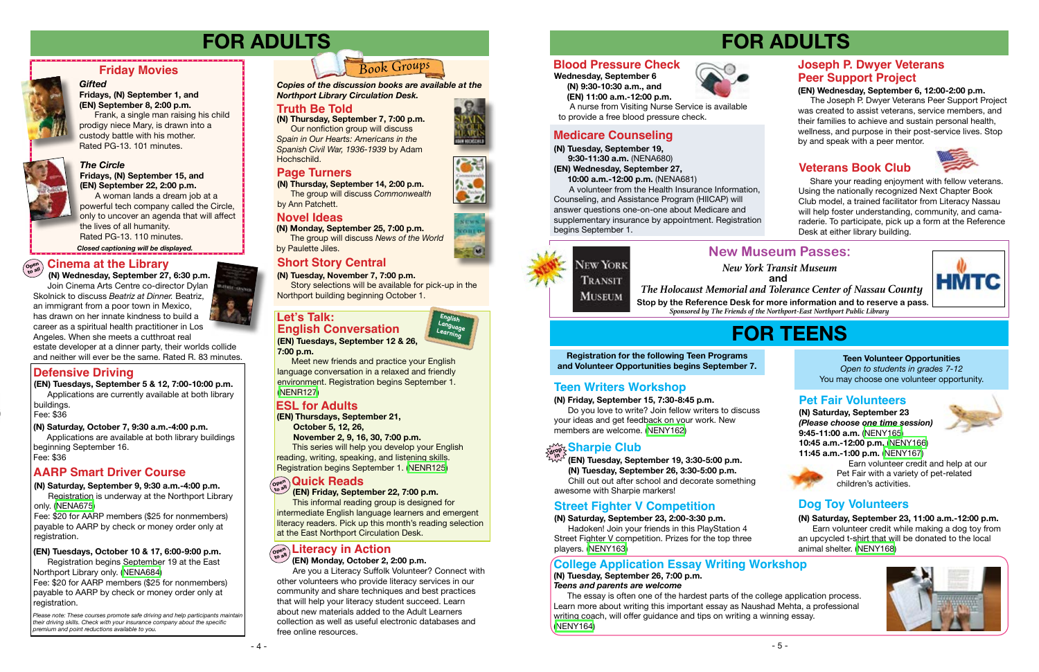# **FOR TEENS**

# **New Museum Passes:**

**Registration for the following Teen Programs and Volunteer Opportunities begins September 7.**

#### **(N) Friday, September 15, 7:30-8:45 p.m.**

 Do you love to write? Join fellow writers to discuss your ideas and get feedback on your work. New members are welcome. ([NENY162](http://alpha1.suffolk.lib.ny.us/record%3Dg1075459~S43))

# $\mathcal{E}_{\text{drop}}^{\text{S}}$ Sharpie Club

# **Teen Writers Workshop**

 The essay is often one of the hardest parts of the college application process. Learn more about writing this important essay as Naushad Mehta, a professional writing coach, will offer guidance and tips on writing a winning essay. ([NENY164\)](http://alpha1.suffolk.lib.ny.us/record%3Dg1075468~S43)

 **(EN) Tuesday, September 19, 3:30-5:00 p.m. (N) Tuesday, September 26, 3:30-5:00 p.m.** Chill out out after school and decorate something awesome with Sharpie markers! **in**

**(N) Saturday, September 23, 2:00-3:30 p.m.** Hadoken! Join your friends in this PlayStation 4 Street Fighter V competition. Prizes for the top three players. [\(NENY163](http://alpha1.suffolk.lib.ny.us/record%3Dg1075464~S43))

# **Street Fighter V Competition**

**(N) Tuesday, September 26, 7:00 p.m.** *Teens and parents are welcome*

### **College Application Essay Writing Workshop**

#### **Teen Volunteer Opportunities**

*Open to students in grades 7-12* You may choose one volunteer opportunity.

**(N) Saturday, September 23** *(Please choose one time session)* **9:45-11:00 a.m.** [\(NENY165\)](http://alpha1.suffolk.lib.ny.us/record%3Dg1075485~S43) **10:45 a.m.-12:00 p.m.** [\(NENY166](http://alpha1.suffolk.lib.ny.us/record%3Dg1075489~S43)) **11:45 a.m.-1:00 p.m.** ([NENY167](http://alpha1.suffolk.lib.ny.us/record%3Dg1075491~S43))

 Earn volunteer credit and help at our Pet Fair with a variety of pet-related children's activities.

# **Pet Fair Volunteers**

**(N) Saturday, September 23, 11:00 a.m.-12:00 p.m.** Earn volunteer credit while making a dog toy from an upcycled t-shirt that will be donated to the local animal shelter. ([NENY168\)](http://alpha1.suffolk.lib.ny.us/record%3Dg1075497~S43)







# **Dog Toy Volunteers**

# **FOR ADULTS**

**(N) Tuesday, September 19, 9:30-11:30 a.m.** (NENA680)

**(EN) Wednesday, September 27,**

 **10:00 a.m.-12:00 p.m.** (NENA681)

A volunteer from the Health Insurance Information, Counseling, and Assistance Program (HIICAP) will answer questions one-on-one about Medicare and supplementary insurance by appointment. Registration begins September 1.



Please note: These courses promote safe driving and help participants mainta *their driving skills. Check with your insurance company about the specific premium and point reductions available to you.*

# **Medicare Counseling**





 **(EN) 11:00 a.m.-12:00 p.m.** 

 A nurse from Visiting Nurse Service is available to provide a free blood pressure check.

#### **(EN) Wednesday, September 6, 12:00-2:00 p.m.**

 The Joseph P. Dwyer Veterans Peer Support Project was created to assist veterans, service members, and their families to achieve and sustain personal health, wellness, and purpose in their post-service lives. Stop by and speak with a peer mentor.

#### **(EN) Monday, October 2, 2:00 p.m.**

**(N) Thursday, September 7, 7:00 p.m.**  Our nonfiction group will discuss *Spain in Our Hearts: Americans in the Spanish Civil War, 1936-1939* by Adam Hochschild.

 Are you a Literacy Suffolk Volunteer? Connect with other volunteers who provide literacy services in our community and share techniques and best practices that will help your literacy student succeed. Learn about new materials added to the Adult Learners collection as well as useful electronic databases and free online resources.





**Stop by the Reference Desk for more information and to reserve a pass.** *New York Transit Museum* **and** *The Holocaust Memorial and Tolerance Center of Nassau County Sponsored by The Friends of the Northport-East Northport Public Library*

# *The Circle*

**Fridays, (N) September 15, and (EN) September 22, 2:00 p.m.**

A woman lands a dream job at a powerful tech company called the Circle, only to uncover an agenda that will affect the lives of all humanity. Rated PG-13. 110 minutes.

#### **Friday Movies**

#### *Gifted*

#### **Fridays, (N) September 1, and (EN) September 8, 2:00 p.m.**

Frank, a single man raising his child prodigy niece Mary, is drawn into a custody battle with his mother. Rated PG-13. 101 minutes.



*Closed captioning will be displayed.*

# **FOR ADULTS**



# **Defensive Driving**

# **AARP Smart Driver Course**

**(EN) Tuesdays, September 5 & 12, 7:00-10:00 p.m.** Applications are currently available at both library

buildings.

Fee: \$36

**(N) Saturday, September 9, 9:30 a.m.-4:00 p.m.**

Registration is underway at the Northport Library only. ([NENA675\)](http://alpha1.suffolk.lib.ny.us/record%3Dg1075013~S43)

Fee: \$20 for AARP members (\$25 for nonmembers) payable to AARP by check or money order only at registration.

**(N) Saturday, October 7, 9:30 a.m.-4:00 p.m.**

Applications are available at both library buildings beginning September 16. Fee: \$36

# **Blood Pressure Check Joseph P. Dwyer Veterans Peer Support Project**





 **(N) Wednesday, September 27, 6:30 p.m.** Join Cinema Arts Centre co-director Dylan Skolnick to discuss *Beatriz at Dinner.* Beatriz, an immigrant from a poor town in Mexico, has drawn on her innate kindness to build a career as a spiritual health practitioner in Los Angeles. When she meets a cutthroat real

estate developer at a dinner party, their worlds collide and neither will ever be the same. Rated R. 83 minutes.

#### **Open to all Cinema at the Library**

### **(EN) Tuesdays, October 10 & 17, 6:00-9:00 p.m.**

Registration begins September 19 at the East Northport Library only. ([NENA684](http://alpha1.suffolk.lib.ny.us/record%3Dg1075433~S43))

Fee: \$20 for AARP members (\$25 for nonmembers) payable to AARP by check or money order only at registration.

# *Book Groups*

**(N) Monday, September 25, 7:00 p.m.** The group will discuss *News of the World* 

by Paulette Jiles.

**(N) Thursday, September 14, 2:00 p.m.** The group will discuss *Commonwealth* by Ann Patchett.

*Copies of the discussion books are available at the Northport Library Circulation Desk.* 

## **Truth Be Told**

## **Novel Ideas**

# **Page Turners**

**(EN) Thursdays, September 21,**

 **October 5, 12, 26,** 

 **November 2, 9, 16, 30, 7:00 p.m.**

This series will help you develop your English reading, writing, speaking, and listening skills. Registration begins September 1. [\(NENR125](http://alpha1.suffolk.lib.ny.us/record%3Dg1075551~S43))

## **ESL for Adults**

**(EN) Tuesdays, September 12 & 26, 7:00 p.m.** 

Meet new friends and practice your English language conversation in a relaxed and friendly environment. Registration begins September 1. [\(NENR127](http://alpha1.suffolk.lib.ny.us/record%3Dg1075550~S43))

 **(EN) Friday, September 22, 7:00 p.m.** 

#### **Let's Talk: English Conversation**

This informal reading group is designed for intermediate English language learners and emergent literacy readers. Pick up this month's reading selection at the East Northport Circulation Desk.

# $\left(\begin{array}{c}\n\hline\n\text{open}\n\end{array}\right)$  **Literacy** in Action

# **Open to all Quick Reads**

## **Short Story Central**

**(N) Tuesday, November 7, 7:00 p.m.**

 Story selections will be available for pick-up in the Northport building beginning October 1.

# **Veterans Book Club**

 Share your reading enjoyment with fellow veterans. Using the nationally recognized Next Chapter Book Club model, a trained facilitator from Literacy Nassau will help foster understanding, community, and camaraderie. To participate, pick up a form at the Reference Desk at either library building.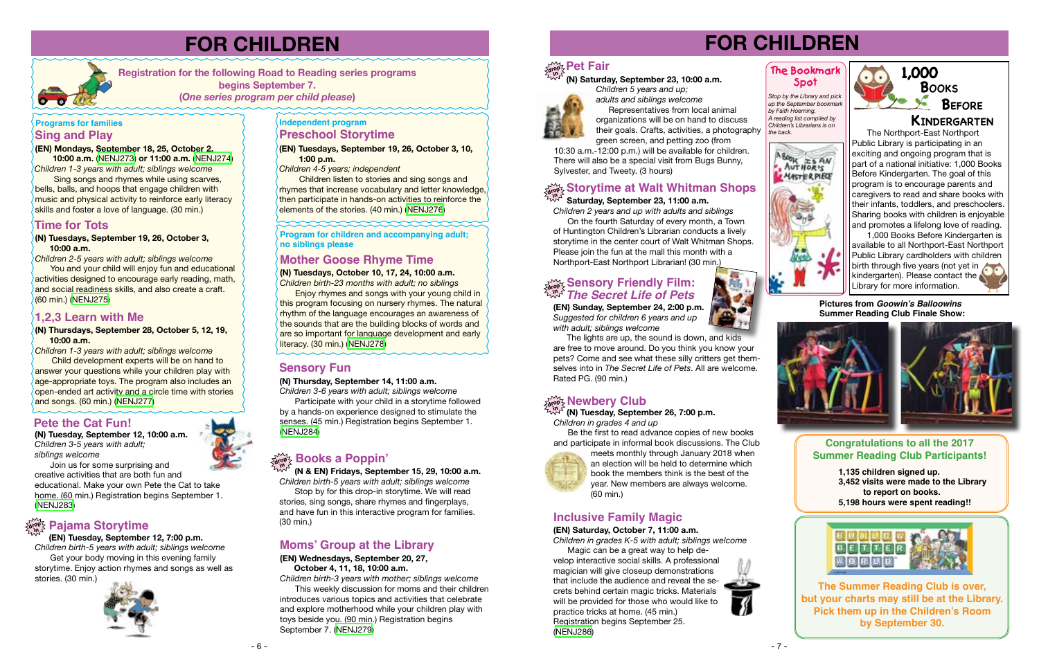

*Children 1-3 years with adult; siblings welcome* Child development experts will be on hand to answer your questions while your children play with age-appropriate toys. The program also includes an open-ended art activity and a circle time with stories and songs. (60 min.) [\(NENJ277](http://alpha1.suffolk.lib.ny.us/record%3Dg1075160~S43))

**(N) Thursdays, September 28, October 5, 12, 19, 10:00 a.m.** 

You and your child will enjoy fun and educational activities designed to encourage early reading, math, and social readiness skills, and also create a craft. (60 min.) ([NENJ275](http://alpha1.suffolk.lib.ny.us/record%3Dg1074861~S43))

#### **(N) Tuesdays, September 19, 26, October 3, 10:00 a.m.**

 Sing songs and rhymes while using scarves, bells, balls, and hoops that engage children with music and physical activity to reinforce early literacy skills and foster a love of language. (30 min.)

*Children 2-5 years with adult; siblings welcome* 

#### **(EN) Mondays, September 18, 25, October 2,**

 **10:00 a.m.** ([NENJ273](http://alpha1.suffolk.lib.ny.us/record%3Dg1075144~S43)) **or 11:00 a.m.** ([NENJ274](http://alpha1.suffolk.lib.ny.us/record%3Dg1075146~S43)) *Children 1-3 years with adult; siblings welcome*

### **Sing and Play Programs for families**

# **FOR CHILDREN**

**Registration for the following Road to Reading series programs begins September 7.** 

**(***One series program per child please***)** 

### **Time for Tots**

#### **1,2,3 Learn with Me**

#### **Program for children and accompanying adult; no siblings please**

**(N) Tuesdays, October 10, 17, 24, 10:00 a.m.**

*Children birth-23 months with adult; no siblings*

Enjoy rhymes and songs with your young child in this program focusing on nursery rhymes. The natural rhythm of the language encourages an awareness of the sounds that are the building blocks of words and are so important for language development and early literacy. (30 min.) [\(NENJ278\)](http://alpha1.suffolk.lib.ny.us/record%3Dg1074862~S43)

#### **(EN) Tuesdays, September 19, 26, October 3, 10, 1:00 p.m.**

# **drop in Pajama Storytime**

*Children 4-5 years; independent*

**Children listen to stories and sing songs and** rhymes that increase vocabulary and letter knowledge, then participate in hands-on activities to reinforce the elements of the stories. (40 min.) ([NENJ276\)](http://alpha1.suffolk.lib.ny.us/record%3Dg1075143~S43)

### **Independent program Preschool Storytime**

# **Mother Goose Rhyme Time**

## **Moms' Group at the Library**

#### **(EN) Wednesdays, September 20, 27, October 4, 11, 18, 10:00 a.m.**

*Children birth-3 years with mother; siblings welcome*

This weekly discussion for moms and their children introduces various topics and activities that celebrate and explore motherhood while your children play with toys beside you. (90 min.) Registration begins September 7. ([NENJ279](http://alpha1.suffolk.lib.ny.us/record%3Dg1075142~S43))



#### **(EN) Tuesday, September 12, 7:00 p.m.**

*Children birth-5 years with adult; siblings welcome* Get your body moving in this evening family storytime. Enjoy action rhymes and songs as well as stories. (30 min.)



 **(N & EN) Fridays, September 15, 29, 10:00 a.m.** *Children birth-5 years with adult; siblings welcome*

Stop by for this drop-in storytime. We will read stories, sing songs, share rhymes and fingerplays, and have fun in this interactive program for families. (30 min.)

# **drop in Books a Poppin'**

### **Pete the Cat Fun!**

#### **(N) Tuesday, September 12, 10:00 a.m.** *Children 3-5 years with adult; siblings welcome*

Join us for some surprising and creative activities that are both fun and educational. Make your own Pete the Cat to take home. (60 min.) Registration begins September 1. ([NENJ283](http://alpha1.suffolk.lib.ny.us/record%3Dg1075145~S43))

#### **Sensory Fun**

#### **(N) Thursday, September 14, 11:00 a.m.**

*Children 3-6 years with adult; siblings welcome*

Participate with your child in a storytime followed by a hands-on experience designed to stimulate the senses. (45 min.) Registration begins September 1. ([NENJ284](http://alpha1.suffolk.lib.ny.us/record%3Dg1075147~S43))

# **FOR CHILDREN**

*Stop by the Library and pick up the September bookmark by Faith Hoerning. A reading list compiled by Children's Librarians is on the back.*



#### **The Bookmark Spot**

*Children 2 years and up with adults and siblings*

#### **Saturday, September 23, 11:00 a.m. in**

 On the fourth Saturday of every month, a Town of Huntington Children's Librarian conducts a lively storytime in the center court of Walt Whitman Shops. Please join the fun at the mall this month with a Northport-East Northport Librarian! (30 min.)

# **drop Sensory Friendly Film: in** *The Secret Life of Pets*

#### **drop Newbery Club**

**in (N) Tuesday, September 26, 7:00 p.m.**

**(EN) Sunday, September 24, 2:00 p.m.** *Suggested for children 6 years and up with adult; siblings welcome*

 The lights are up, the sound is down, and kids are free to move around. Do you think you know your pets? Come and see what these silly critters get themselves into in *The Secret Life of Pets*. All are welcome. Rated PG. (90 min.)

*Children in grades 4 and up*

Be the first to read advance copies of new books and participate in informal book discussions. The Club



meets monthly through January 2018 when an election will be held to determine which book the members think is the best of the year. New members are always welcome. (60 min.)

# **Inclusive Family Magic**

#### **(EN) Saturday, October 7, 11:00 a.m.** *Children in grades K-5 with adult; siblings welcome*

Magic can be a great way to help develop interactive social skills. A professional magician will give closeup demonstrations that include the audience and reveal the secrets behind certain magic tricks. Materials will be provided for those who would like to practice tricks at home. (45 min.) Registration begins September 25. ([NENJ286\)](http://alpha1.suffolk.lib.ny.us/record%3Dg1075150~S43)



The Northport-East Northport Public Library is participating in an exciting and ongoing program that is part of a national initiative: 1,000 Books Before Kindergarten. The goal of this program is to encourage parents and caregivers to read and share books with their infants, toddlers, and preschoolers. Sharing books with children is enjoyable and promotes a lifelong love of reading.

1,000 Books Before Kindergarten is available to all Northport-East Northport Public Library cardholders with children birth through five years (not yet in kindergarten). Please contact the Library for more information.

# **drop in Pet Fair**

 **(N) Saturday, September 23, 10:00 a.m.**

*Children 5 years and up; adults and siblings welcome*

 Representatives from local animal organizations will be on hand to discuss their goals. Crafts, activities, a photography green screen, and petting zoo (from

10:30 a.m.-12:00 p.m.) will be available for children. There will also be a special visit from Bugs Bunny, Sylvester, and Tweety. (3 hours)

# $\omega$  Storytime at Walt Whitman Shops

**The Summer Reading Club is over, but your charts may still be at the Library. Pick them up in the Children's Room by September 30.**

#### **Congratulations to all the 2017 Summer Reading Club Participants!**

**1,135 children signed up. 3,452 visits were made to the Library**

- **to report on books.**
- **5,198 hours were spent reading!!**



**Pictures from Goowin's Balloowins Summer Reading Club Finale Show:**